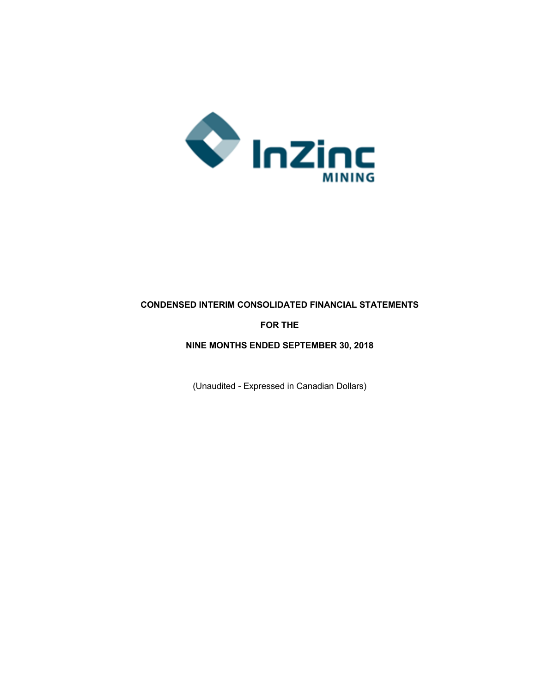

## **CONDENSED INTERIM CONSOLIDATED FINANCIAL STATEMENTS**

## **FOR THE**

## **NINE MONTHS ENDED SEPTEMBER 30, 2018**

(Unaudited - Expressed in Canadian Dollars)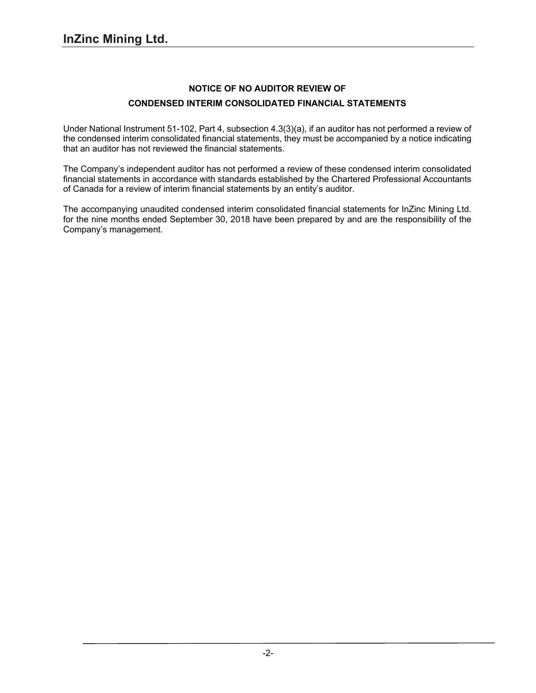## **NOTICE OF NO AUDITOR REVIEW OF CONDENSED INTERIM CONSOLIDATED FINANCIAL STATEMENTS**

Under National Instrument 51-102, Part 4, subsection 4.3(3)(a), if an auditor has not performed a review of the condensed interim consolidated financial statements, they must be accompanied by a notice indicating that an auditor has not reviewed the financial statements.

The Company's independent auditor has not performed a review of these condensed interim consolidated financial statements in accordance with standards established by the Chartered Professional Accountants of Canada for a review of interim financial statements by an entity's auditor.

The accompanying unaudited condensed interim consolidated financial statements for InZinc Mining Ltd. for the nine months ended September 30, 2018 have been prepared by and are the responsibility of the Company's management.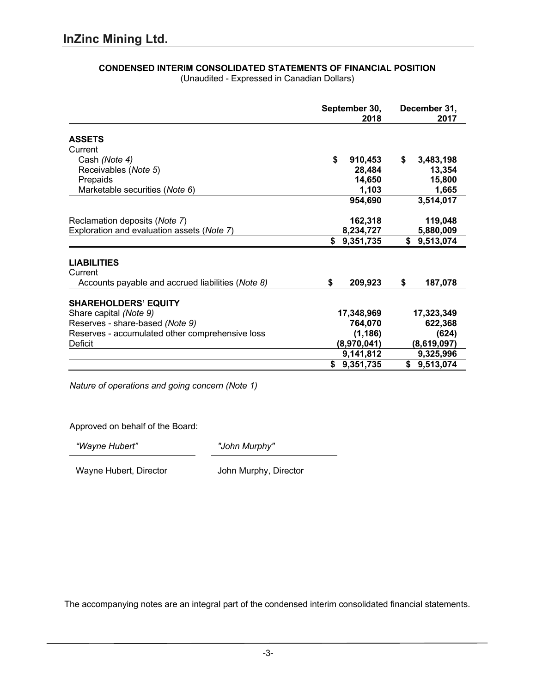|                                                   | September 30,<br>2018 | December 31,<br>2017 |
|---------------------------------------------------|-----------------------|----------------------|
| <b>ASSETS</b>                                     |                       |                      |
| Current                                           |                       |                      |
| Cash (Note 4)                                     | \$<br>910,453         | \$<br>3,483,198      |
| Receivables (Note 5)                              | 28,484                | 13,354               |
| Prepaids                                          | 14,650                | 15,800               |
| Marketable securities (Note 6)                    | 1,103                 | 1,665                |
|                                                   | 954,690               | 3,514,017            |
| Reclamation deposits (Note 7)                     | 162,318               | 119,048              |
| Exploration and evaluation assets (Note 7)        | 8,234,727             | 5,880,009            |
|                                                   | 9,351,735<br>\$       | \$<br>9,513,074      |
| <b>LIABILITIES</b><br>Current                     |                       |                      |
| Accounts payable and accrued liabilities (Note 8) | \$<br>209,923         | \$<br>187,078        |
| <b>SHAREHOLDERS' EQUITY</b>                       |                       |                      |
| Share capital (Note 9)                            | 17,348,969            | 17,323,349           |
| Reserves - share-based (Note 9)                   | 764,070               | 622,368              |
| Reserves - accumulated other comprehensive loss   | (1, 186)              | (624)                |
| <b>Deficit</b>                                    | (8,970,041)           | (8,619,097)          |
|                                                   | 9,141,812             | 9,325,996            |
|                                                   | 9,351,735             | 9,513,074<br>\$      |

#### **CONDENSED INTERIM CONSOLIDATED STATEMENTS OF FINANCIAL POSITION** (Unaudited - Expressed in Canadian Dollars)

*Nature of operations and going concern (Note 1)*

Approved on behalf of the Board:

*"Wayne Hubert" "John Murphy"*

Wayne Hubert, Director **John Murphy, Director**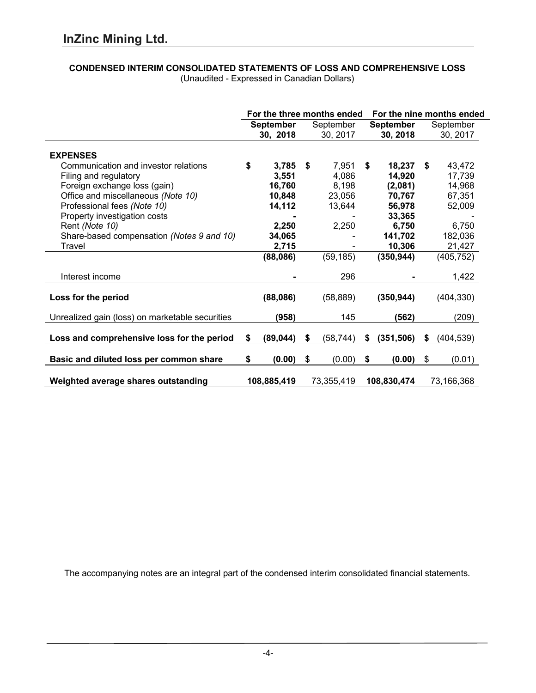# **CONDENSED INTERIM CONSOLIDATED STATEMENTS OF LOSS AND COMPREHENSIVE LOSS**

|                                                 |                  |      | For the three months ended |                  |    | For the nine months ended |
|-------------------------------------------------|------------------|------|----------------------------|------------------|----|---------------------------|
|                                                 | <b>September</b> |      | September                  | <b>September</b> |    | September                 |
|                                                 | 30, 2018         |      | 30, 2017                   | 30, 2018         |    | 30, 2017                  |
| <b>EXPENSES</b>                                 |                  |      |                            |                  |    |                           |
| Communication and investor relations            | \$<br>3,785      | - \$ | 7,951                      | \$<br>18,237     | \$ | 43,472                    |
| Filing and regulatory                           | 3,551            |      | 4,086                      | 14,920           |    | 17,739                    |
| Foreign exchange loss (gain)                    | 16,760           |      | 8,198                      | (2,081)          |    | 14,968                    |
| Office and miscellaneous (Note 10)              | 10,848           |      | 23,056                     | 70,767           |    | 67,351                    |
| Professional fees (Note 10)                     | 14,112           |      | 13,644                     | 56,978           |    | 52,009                    |
| Property investigation costs                    |                  |      |                            | 33,365           |    |                           |
| Rent (Note 10)                                  | 2,250            |      | 2,250                      | 6,750            |    | 6,750                     |
| Share-based compensation (Notes 9 and 10)       | 34,065           |      |                            | 141,702          |    | 182,036                   |
| Travel                                          | 2,715            |      |                            | 10,306           |    | 21,427                    |
|                                                 | (88,086)         |      | (59, 185)                  | (350, 944)       |    | (405,752)                 |
| Interest income                                 |                  |      | 296                        |                  |    | 1,422                     |
| Loss for the period                             | (88,086)         |      | (58, 889)                  | (350, 944)       |    | (404, 330)                |
| Unrealized gain (loss) on marketable securities | (958)            |      | 145                        | (562)            |    | (209)                     |
| Loss and comprehensive loss for the period      | \$<br>(89, 044)  | \$   | (58, 744)                  | \$<br>(351, 506) | S  | (404, 539)                |
| Basic and diluted loss per common share         | \$<br>(0.00)     | \$   | (0.00)                     | \$<br>(0.00)     | \$ | (0.01)                    |
| Weighted average shares outstanding             | 108,885,419      |      | 73,355,419                 | 108,830,474      |    | 73,166,368                |

(Unaudited - Expressed in Canadian Dollars)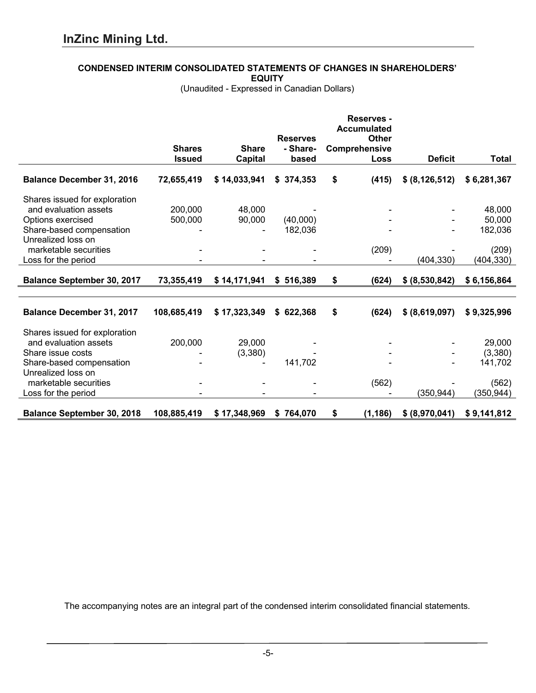## **CONDENSED INTERIM CONSOLIDATED STATEMENTS OF CHANGES IN SHAREHOLDERS'**

**EQUITY**

(Unaudited - Expressed in Canadian Dollars)

|                                   |               |                |                 | <b>Reserves -</b><br><b>Accumulated</b> |                  |             |
|-----------------------------------|---------------|----------------|-----------------|-----------------------------------------|------------------|-------------|
|                                   |               |                | <b>Reserves</b> | <b>Other</b>                            |                  |             |
|                                   | <b>Shares</b> | <b>Share</b>   | - Share-        | Comprehensive                           |                  |             |
|                                   | <b>Issued</b> | <b>Capital</b> | based           | Loss                                    | <b>Deficit</b>   | Total       |
| <b>Balance December 31, 2016</b>  | 72,655,419    | \$14,033,941   | \$374,353       | \$<br>(415)                             | \$ (8, 126, 512) | \$6,281,367 |
| Shares issued for exploration     |               |                |                 |                                         |                  |             |
| and evaluation assets             | 200,000       | 48,000         |                 |                                         |                  | 48,000      |
| Options exercised                 | 500,000       | 90,000         | (40,000)        |                                         |                  | 50,000      |
| Share-based compensation          |               |                | 182,036         |                                         |                  | 182,036     |
| Unrealized loss on                |               |                |                 |                                         |                  |             |
| marketable securities             |               |                |                 | (209)                                   |                  | (209)       |
| Loss for the period               |               |                |                 |                                         | (404, 330)       | (404, 330)  |
| <b>Balance September 30, 2017</b> | 73,355,419    | \$14,171,941   | \$516,389       | \$<br>(624)                             | \$ (8,530,842)   | \$6,156,864 |
|                                   |               |                |                 |                                         |                  |             |
| <b>Balance December 31, 2017</b>  | 108,685,419   | \$17,323,349   | \$622,368       | \$<br>(624)                             | \$ (8,619,097)   | \$9,325,996 |
| Shares issued for exploration     |               |                |                 |                                         |                  |             |
| and evaluation assets             | 200,000       | 29,000         |                 |                                         |                  | 29,000      |
| Share issue costs                 |               | (3,380)        |                 |                                         |                  | (3,380)     |
| Share-based compensation          |               |                | 141,702         |                                         |                  | 141,702     |
| Unrealized loss on                |               |                |                 |                                         |                  |             |
| marketable securities             |               |                |                 | (562)                                   |                  | (562)       |
| Loss for the period               |               |                |                 |                                         | (350,944)        | (350,944)   |
| <b>Balance September 30, 2018</b> | 108,885,419   | \$17,348,969   | \$764,070       | \$<br>(1, 186)                          | \$ (8,970,041)   | \$9,141,812 |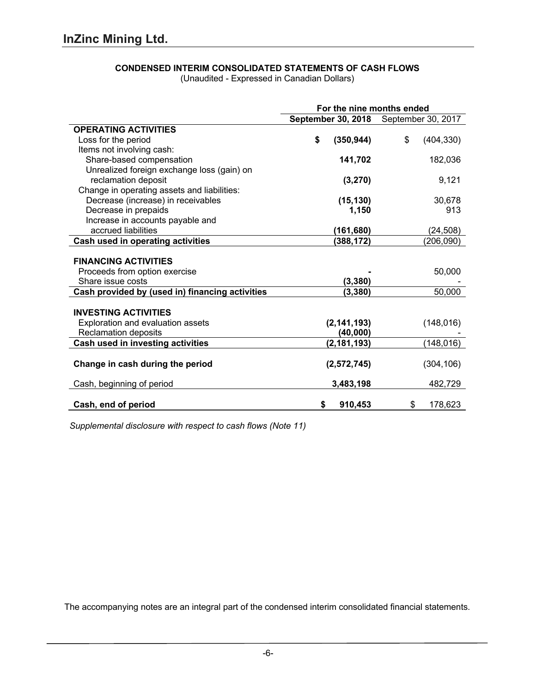## **CONDENSED INTERIM CONSOLIDATED STATEMENTS OF CASH FLOWS**

(Unaudited - Expressed in Canadian Dollars)

|                                                 | For the nine months ended |                           |    |                    |  |  |
|-------------------------------------------------|---------------------------|---------------------------|----|--------------------|--|--|
|                                                 |                           | <b>September 30, 2018</b> |    | September 30, 2017 |  |  |
| <b>OPERATING ACTIVITIES</b>                     |                           |                           |    |                    |  |  |
| Loss for the period                             | \$                        | (350, 944)                | \$ | (404, 330)         |  |  |
| Items not involving cash:                       |                           |                           |    |                    |  |  |
| Share-based compensation                        |                           | 141,702                   |    | 182,036            |  |  |
| Unrealized foreign exchange loss (gain) on      |                           |                           |    |                    |  |  |
| reclamation deposit                             |                           | (3,270)                   |    | 9,121              |  |  |
| Change in operating assets and liabilities:     |                           |                           |    |                    |  |  |
| Decrease (increase) in receivables              |                           | (15, 130)                 |    | 30,678             |  |  |
| Decrease in prepaids                            |                           | 1,150                     |    | 913                |  |  |
| Increase in accounts payable and                |                           |                           |    |                    |  |  |
| accrued liabilities                             |                           | (161, 680)                |    | (24, 508)          |  |  |
| <b>Cash used in operating activities</b>        |                           | (388, 172)                |    | (206,090)          |  |  |
|                                                 |                           |                           |    |                    |  |  |
| <b>FINANCING ACTIVITIES</b>                     |                           |                           |    |                    |  |  |
| Proceeds from option exercise                   |                           |                           |    | 50,000             |  |  |
| Share issue costs                               |                           | (3, 380)                  |    |                    |  |  |
| Cash provided by (used in) financing activities |                           | (3, 380)                  |    | 50,000             |  |  |
| <b>INVESTING ACTIVITIES</b>                     |                           |                           |    |                    |  |  |
| Exploration and evaluation assets               |                           | (2, 141, 193)             |    | (148, 016)         |  |  |
| Reclamation deposits                            |                           | (40,000)                  |    |                    |  |  |
| Cash used in investing activities               |                           | (2, 181, 193)             |    | (148, 016)         |  |  |
|                                                 |                           |                           |    |                    |  |  |
| Change in cash during the period                |                           | (2,572,745)               |    | (304, 106)         |  |  |
|                                                 |                           |                           |    |                    |  |  |
| Cash, beginning of period                       |                           | 3,483,198                 |    | 482,729            |  |  |
| Cash, end of period                             | S                         | 910,453                   | \$ | 178,623            |  |  |
|                                                 |                           |                           |    |                    |  |  |

*Supplemental disclosure with respect to cash flows (Note 11)*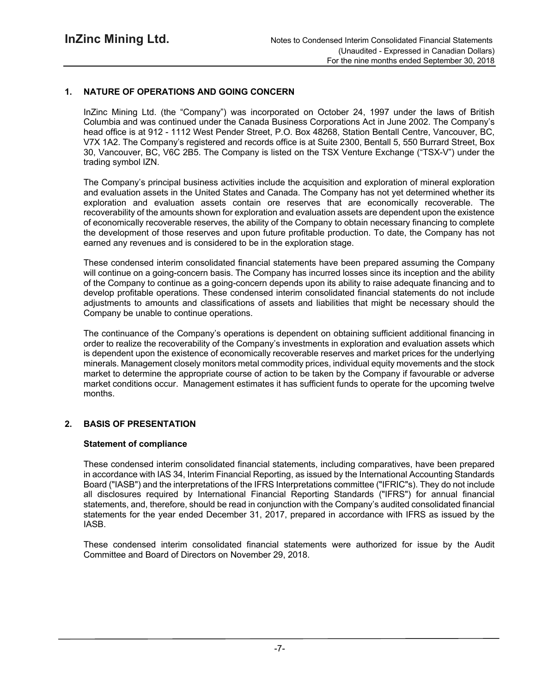## **1. NATURE OF OPERATIONS AND GOING CONCERN**

InZinc Mining Ltd. (the "Company") was incorporated on October 24, 1997 under the laws of British Columbia and was continued under the Canada Business Corporations Act in June 2002. The Company's head office is at 912 - 1112 West Pender Street, P.O. Box 48268, Station Bentall Centre, Vancouver, BC, V7X 1A2. The Company's registered and records office is at Suite 2300, Bentall 5, 550 Burrard Street, Box 30, Vancouver, BC, V6C 2B5. The Company is listed on the TSX Venture Exchange ("TSX-V") under the trading symbol IZN.

The Company's principal business activities include the acquisition and exploration of mineral exploration and evaluation assets in the United States and Canada. The Company has not yet determined whether its exploration and evaluation assets contain ore reserves that are economically recoverable. The recoverability of the amounts shown for exploration and evaluation assets are dependent upon the existence of economically recoverable reserves, the ability of the Company to obtain necessary financing to complete the development of those reserves and upon future profitable production. To date, the Company has not earned any revenues and is considered to be in the exploration stage.

These condensed interim consolidated financial statements have been prepared assuming the Company will continue on a going-concern basis. The Company has incurred losses since its inception and the ability of the Company to continue as a going-concern depends upon its ability to raise adequate financing and to develop profitable operations. These condensed interim consolidated financial statements do not include adjustments to amounts and classifications of assets and liabilities that might be necessary should the Company be unable to continue operations.

The continuance of the Company's operations is dependent on obtaining sufficient additional financing in order to realize the recoverability of the Company's investments in exploration and evaluation assets which is dependent upon the existence of economically recoverable reserves and market prices for the underlying minerals. Management closely monitors metal commodity prices, individual equity movements and the stock market to determine the appropriate course of action to be taken by the Company if favourable or adverse market conditions occur. Management estimates it has sufficient funds to operate for the upcoming twelve months.

## **2. BASIS OF PRESENTATION**

#### **Statement of compliance**

These condensed interim consolidated financial statements, including comparatives, have been prepared in accordance with IAS 34, Interim Financial Reporting, as issued by the International Accounting Standards Board ("IASB") and the interpretations of the IFRS Interpretations committee ("IFRIC"s). They do not include all disclosures required by International Financial Reporting Standards ("IFRS") for annual financial statements, and, therefore, should be read in conjunction with the Company's audited consolidated financial statements for the year ended December 31, 2017, prepared in accordance with IFRS as issued by the IASB.

These condensed interim consolidated financial statements were authorized for issue by the Audit Committee and Board of Directors on November 29, 2018.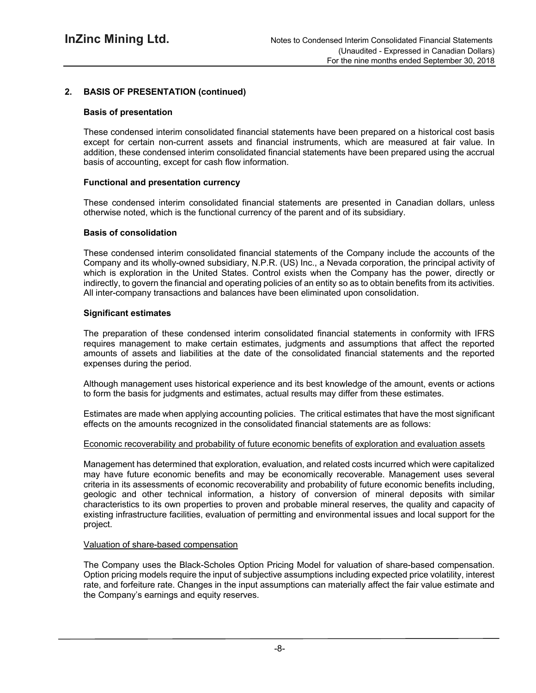## **2. BASIS OF PRESENTATION (continued)**

## **Basis of presentation**

These condensed interim consolidated financial statements have been prepared on a historical cost basis except for certain non-current assets and financial instruments, which are measured at fair value. In addition, these condensed interim consolidated financial statements have been prepared using the accrual basis of accounting, except for cash flow information.

#### **Functional and presentation currency**

These condensed interim consolidated financial statements are presented in Canadian dollars, unless otherwise noted, which is the functional currency of the parent and of its subsidiary.

#### **Basis of consolidation**

These condensed interim consolidated financial statements of the Company include the accounts of the Company and its wholly-owned subsidiary, N.P.R. (US) Inc., a Nevada corporation, the principal activity of which is exploration in the United States. Control exists when the Company has the power, directly or indirectly, to govern the financial and operating policies of an entity so as to obtain benefits from its activities. All inter-company transactions and balances have been eliminated upon consolidation.

#### **Significant estimates**

The preparation of these condensed interim consolidated financial statements in conformity with IFRS requires management to make certain estimates, judgments and assumptions that affect the reported amounts of assets and liabilities at the date of the consolidated financial statements and the reported expenses during the period.

Although management uses historical experience and its best knowledge of the amount, events or actions to form the basis for judgments and estimates, actual results may differ from these estimates.

Estimates are made when applying accounting policies. The critical estimates that have the most significant effects on the amounts recognized in the consolidated financial statements are as follows:

#### Economic recoverability and probability of future economic benefits of exploration and evaluation assets

Management has determined that exploration, evaluation, and related costs incurred which were capitalized may have future economic benefits and may be economically recoverable. Management uses several criteria in its assessments of economic recoverability and probability of future economic benefits including, geologic and other technical information, a history of conversion of mineral deposits with similar characteristics to its own properties to proven and probable mineral reserves, the quality and capacity of existing infrastructure facilities, evaluation of permitting and environmental issues and local support for the project.

#### Valuation of share-based compensation

The Company uses the Black-Scholes Option Pricing Model for valuation of share-based compensation. Option pricing models require the input of subjective assumptions including expected price volatility, interest rate, and forfeiture rate. Changes in the input assumptions can materially affect the fair value estimate and the Company's earnings and equity reserves.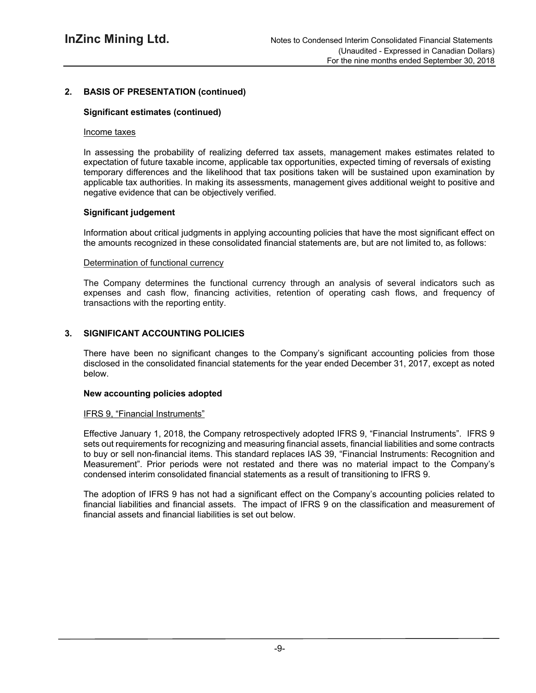## **2. BASIS OF PRESENTATION (continued)**

## **Significant estimates (continued)**

#### Income taxes

In assessing the probability of realizing deferred tax assets, management makes estimates related to expectation of future taxable income, applicable tax opportunities, expected timing of reversals of existing temporary differences and the likelihood that tax positions taken will be sustained upon examination by applicable tax authorities. In making its assessments, management gives additional weight to positive and negative evidence that can be objectively verified.

## **Significant judgement**

Information about critical judgments in applying accounting policies that have the most significant effect on the amounts recognized in these consolidated financial statements are, but are not limited to, as follows:

#### Determination of functional currency

The Company determines the functional currency through an analysis of several indicators such as expenses and cash flow, financing activities, retention of operating cash flows, and frequency of transactions with the reporting entity.

## **3. SIGNIFICANT ACCOUNTING POLICIES**

There have been no significant changes to the Company's significant accounting policies from those disclosed in the consolidated financial statements for the year ended December 31, 2017, except as noted below.

#### **New accounting policies adopted**

#### IFRS 9, "Financial Instruments"

Effective January 1, 2018, the Company retrospectively adopted IFRS 9, "Financial Instruments". IFRS 9 sets out requirements for recognizing and measuring financial assets, financial liabilities and some contracts to buy or sell non-financial items. This standard replaces IAS 39, "Financial Instruments: Recognition and Measurement". Prior periods were not restated and there was no material impact to the Company's condensed interim consolidated financial statements as a result of transitioning to IFRS 9.

The adoption of IFRS 9 has not had a significant effect on the Company's accounting policies related to financial liabilities and financial assets. The impact of IFRS 9 on the classification and measurement of financial assets and financial liabilities is set out below.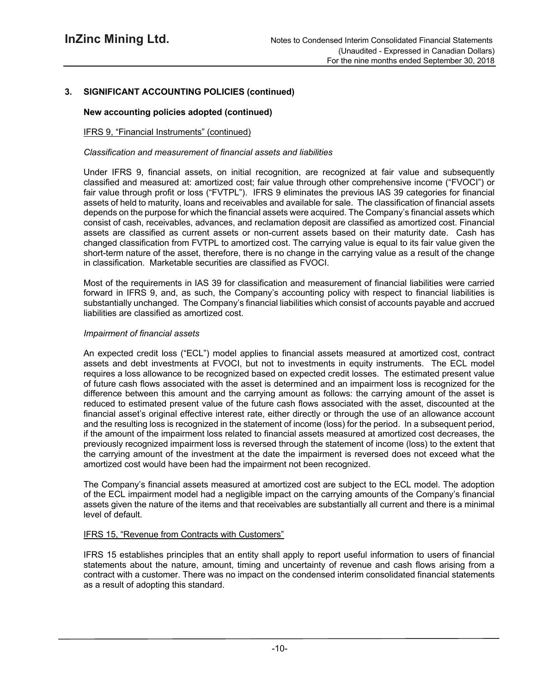## **3. SIGNIFICANT ACCOUNTING POLICIES (continued)**

## **New accounting policies adopted (continued)**

## IFRS 9, "Financial Instruments" (continued)

## *Classification and measurement of financial assets and liabilities*

Under IFRS 9, financial assets, on initial recognition, are recognized at fair value and subsequently classified and measured at: amortized cost; fair value through other comprehensive income ("FVOCI") or fair value through profit or loss ("FVTPL"). IFRS 9 eliminates the previous IAS 39 categories for financial assets of held to maturity, loans and receivables and available for sale. The classification of financial assets depends on the purpose for which the financial assets were acquired. The Company's financial assets which consist of cash, receivables, advances, and reclamation deposit are classified as amortized cost. Financial assets are classified as current assets or non-current assets based on their maturity date. Cash has changed classification from FVTPL to amortized cost. The carrying value is equal to its fair value given the short-term nature of the asset, therefore, there is no change in the carrying value as a result of the change in classification. Marketable securities are classified as FVOCI.

Most of the requirements in IAS 39 for classification and measurement of financial liabilities were carried forward in IFRS 9, and, as such, the Company's accounting policy with respect to financial liabilities is substantially unchanged. The Company's financial liabilities which consist of accounts payable and accrued liabilities are classified as amortized cost.

#### *Impairment of financial assets*

An expected credit loss ("ECL") model applies to financial assets measured at amortized cost, contract assets and debt investments at FVOCI, but not to investments in equity instruments. The ECL model requires a loss allowance to be recognized based on expected credit losses. The estimated present value of future cash flows associated with the asset is determined and an impairment loss is recognized for the difference between this amount and the carrying amount as follows: the carrying amount of the asset is reduced to estimated present value of the future cash flows associated with the asset, discounted at the financial asset's original effective interest rate, either directly or through the use of an allowance account and the resulting loss is recognized in the statement of income (loss) for the period. In a subsequent period, if the amount of the impairment loss related to financial assets measured at amortized cost decreases, the previously recognized impairment loss is reversed through the statement of income (loss) to the extent that the carrying amount of the investment at the date the impairment is reversed does not exceed what the amortized cost would have been had the impairment not been recognized.

The Company's financial assets measured at amortized cost are subject to the ECL model. The adoption of the ECL impairment model had a negligible impact on the carrying amounts of the Company's financial assets given the nature of the items and that receivables are substantially all current and there is a minimal level of default.

## IFRS 15, "Revenue from Contracts with Customers"

IFRS 15 establishes principles that an entity shall apply to report useful information to users of financial statements about the nature, amount, timing and uncertainty of revenue and cash flows arising from a contract with a customer. There was no impact on the condensed interim consolidated financial statements as a result of adopting this standard.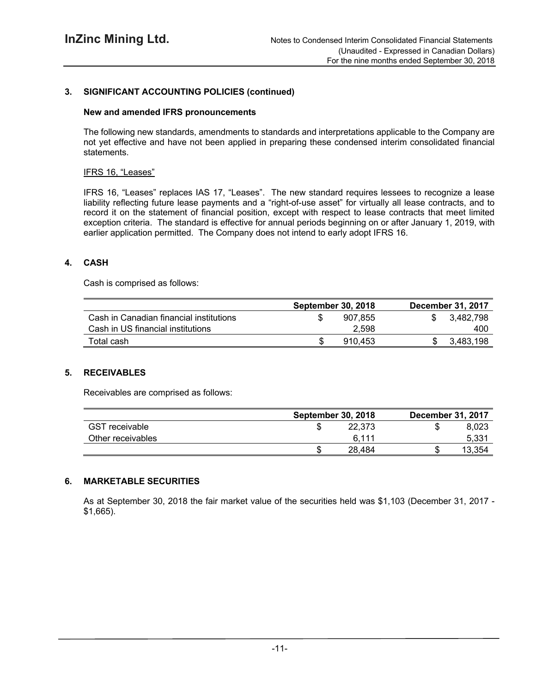## **3. SIGNIFICANT ACCOUNTING POLICIES (continued)**

#### **New and amended IFRS pronouncements**

The following new standards, amendments to standards and interpretations applicable to the Company are not yet effective and have not been applied in preparing these condensed interim consolidated financial statements.

#### IFRS 16, "Leases"

IFRS 16, "Leases" replaces IAS 17, "Leases". The new standard requires lessees to recognize a lease liability reflecting future lease payments and a "right-of-use asset" for virtually all lease contracts, and to record it on the statement of financial position, except with respect to lease contracts that meet limited exception criteria. The standard is effective for annual periods beginning on or after January 1, 2019, with earlier application permitted. The Company does not intend to early adopt IFRS 16.

## **4. CASH**

Cash is comprised as follows:

|                                         | <b>September 30, 2018</b> | <b>December 31, 2017</b> |
|-----------------------------------------|---------------------------|--------------------------|
| Cash in Canadian financial institutions | 907.855                   | 3.482.798                |
| Cash in US financial institutions       | 2.598                     | 400                      |
| Total cash                              | 910.453                   | 3.483.198                |

## **5. RECEIVABLES**

Receivables are comprised as follows:

|                       | <b>September 30, 2018</b> | <b>December 31, 2017</b> |
|-----------------------|---------------------------|--------------------------|
| <b>GST</b> receivable | 22.373                    | 8.023                    |
| Other receivables     | 6,111                     | 5.331                    |
|                       | 28.484                    | 13.354                   |

## **6. MARKETABLE SECURITIES**

As at September 30, 2018 the fair market value of the securities held was \$1,103 (December 31, 2017 - \$1,665).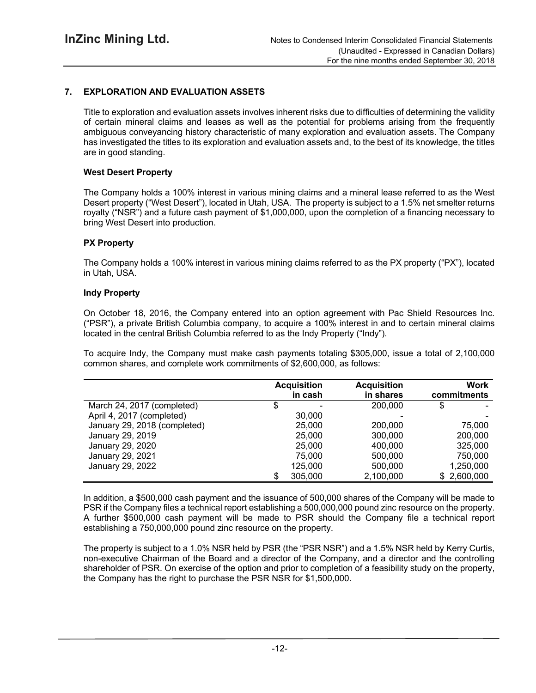## **7. EXPLORATION AND EVALUATION ASSETS**

Title to exploration and evaluation assets involves inherent risks due to difficulties of determining the validity of certain mineral claims and leases as well as the potential for problems arising from the frequently ambiguous conveyancing history characteristic of many exploration and evaluation assets. The Company has investigated the titles to its exploration and evaluation assets and, to the best of its knowledge, the titles are in good standing.

#### **West Desert Property**

The Company holds a 100% interest in various mining claims and a mineral lease referred to as the West Desert property ("West Desert"), located in Utah, USA. The property is subject to a 1.5% net smelter returns royalty ("NSR") and a future cash payment of \$1,000,000, upon the completion of a financing necessary to bring West Desert into production.

#### **PX Property**

The Company holds a 100% interest in various mining claims referred to as the PX property ("PX"), located in Utah, USA.

#### **Indy Property**

On October 18, 2016, the Company entered into an option agreement with Pac Shield Resources Inc. ("PSR"), a private British Columbia company, to acquire a 100% interest in and to certain mineral claims located in the central British Columbia referred to as the Indy Property ("Indy").

To acquire Indy, the Company must make cash payments totaling \$305,000, issue a total of 2,100,000 common shares, and complete work commitments of \$2,600,000, as follows:

|                              | <b>Acquisition</b><br>in cash | <b>Acquisition</b><br>in shares | Work<br>commitments |
|------------------------------|-------------------------------|---------------------------------|---------------------|
| March 24, 2017 (completed)   | -                             | 200,000                         | \$                  |
| April 4, 2017 (completed)    | 30,000                        |                                 |                     |
| January 29, 2018 (completed) | 25,000                        | 200,000                         | 75,000              |
| January 29, 2019             | 25,000                        | 300,000                         | 200,000             |
| January 29, 2020             | 25,000                        | 400,000                         | 325,000             |
| January 29, 2021             | 75,000                        | 500,000                         | 750,000             |
| January 29, 2022             | 125,000                       | 500,000                         | 1,250,000           |
|                              | 305,000                       | 2,100,000                       | \$2,600,000         |

In addition, a \$500,000 cash payment and the issuance of 500,000 shares of the Company will be made to PSR if the Company files a technical report establishing a 500,000,000 pound zinc resource on the property. A further \$500,000 cash payment will be made to PSR should the Company file a technical report establishing a 750,000,000 pound zinc resource on the property.

The property is subject to a 1.0% NSR held by PSR (the "PSR NSR") and a 1.5% NSR held by Kerry Curtis, non-executive Chairman of the Board and a director of the Company, and a director and the controlling shareholder of PSR. On exercise of the option and prior to completion of a feasibility study on the property, the Company has the right to purchase the PSR NSR for \$1,500,000.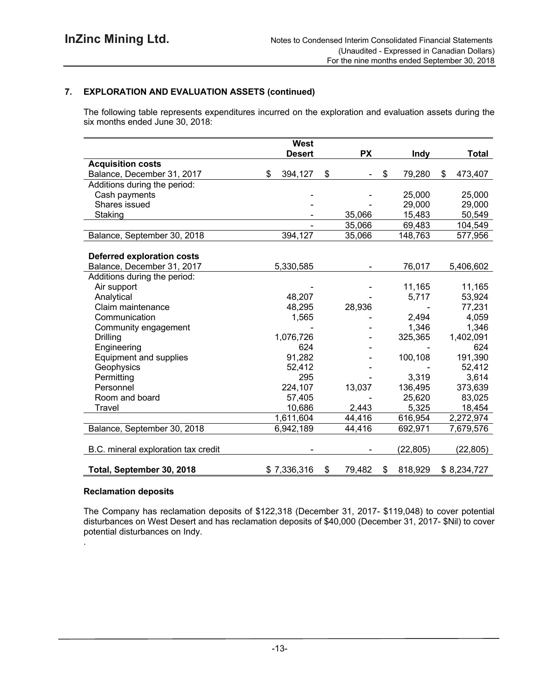## **7. EXPLORATION AND EVALUATION ASSETS (continued)**

The following table represents expenditures incurred on the exploration and evaluation assets during the six months ended June 30, 2018:

|                                     | West          |              |               |               |
|-------------------------------------|---------------|--------------|---------------|---------------|
|                                     | <b>Desert</b> | <b>PX</b>    | <b>Indy</b>   | <b>Total</b>  |
| <b>Acquisition costs</b>            |               |              |               |               |
| Balance, December 31, 2017          | 394,127<br>\$ | \$           | \$<br>79,280  | \$<br>473,407 |
| Additions during the period:        |               |              |               |               |
| Cash payments                       |               |              | 25,000        | 25,000        |
| Shares issued                       |               |              | 29,000        | 29,000        |
| Staking                             |               | 35,066       | 15,483        | 50,549        |
|                                     |               | 35,066       | 69,483        | 104,549       |
| Balance, September 30, 2018         | 394,127       | 35,066       | 148,763       | 577,956       |
|                                     |               |              |               |               |
| <b>Deferred exploration costs</b>   |               |              |               |               |
| Balance, December 31, 2017          | 5,330,585     |              | 76,017        | 5,406,602     |
| Additions during the period:        |               |              |               |               |
| Air support                         |               |              | 11,165        | 11,165        |
| Analytical                          | 48,207        |              | 5,717         | 53,924        |
| Claim maintenance                   | 48,295        | 28,936       |               | 77,231        |
| Communication                       | 1,565         |              | 2,494         | 4,059         |
| Community engagement                |               |              | 1,346         | 1,346         |
| <b>Drilling</b>                     | 1,076,726     |              | 325,365       | 1,402,091     |
| Engineering                         | 624           |              |               | 624           |
| Equipment and supplies              | 91,282        |              | 100,108       | 191,390       |
| Geophysics                          | 52,412        |              |               | 52,412        |
| Permitting                          | 295           |              | 3,319         | 3,614         |
| Personnel                           | 224,107       | 13,037       | 136,495       | 373,639       |
| Room and board                      | 57,405        |              | 25,620        | 83,025        |
| Travel                              | 10,686        | 2,443        | 5,325         | 18,454        |
|                                     | 1,611,604     | 44,416       | 616,954       | 2,272,974     |
| Balance, September 30, 2018         | 6,942,189     | 44,416       | 692,971       | 7,679,576     |
|                                     |               |              |               |               |
| B.C. mineral exploration tax credit |               |              | (22, 805)     | (22, 805)     |
|                                     |               |              |               |               |
| Total, September 30, 2018           | \$7,336,316   | \$<br>79,482 | \$<br>818,929 | \$8,234,727   |

#### **Reclamation deposits**

.

The Company has reclamation deposits of \$122,318 (December 31, 2017- \$119,048) to cover potential disturbances on West Desert and has reclamation deposits of \$40,000 (December 31, 2017- \$Nil) to cover potential disturbances on Indy.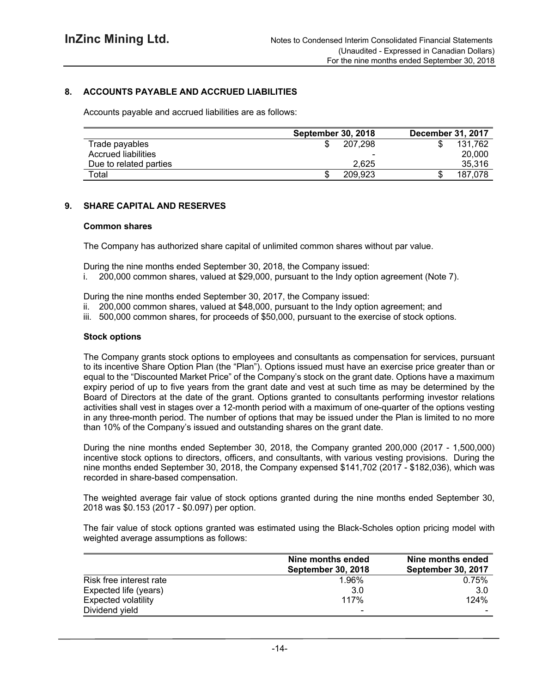## **8. ACCOUNTS PAYABLE AND ACCRUED LIABILITIES**

Accounts payable and accrued liabilities are as follows:

|                        | <b>September 30, 2018</b> | <b>December 31, 2017</b> |
|------------------------|---------------------------|--------------------------|
| Trade payables         | 207.298<br>Œ              | 131.762                  |
| Accrued liabilities    |                           | 20,000                   |
| Due to related parties | 2.625                     | 35,316                   |
| Total                  | 209.923<br>D              | 187.078                  |

#### **9. SHARE CAPITAL AND RESERVES**

#### **Common shares**

The Company has authorized share capital of unlimited common shares without par value.

During the nine months ended September 30, 2018, the Company issued:

i. 200,000 common shares, valued at \$29,000, pursuant to the Indy option agreement (Note 7).

During the nine months ended September 30, 2017, the Company issued:

- ii. 200,000 common shares, valued at \$48,000, pursuant to the Indy option agreement; and
- iii. 500,000 common shares, for proceeds of \$50,000, pursuant to the exercise of stock options.

#### **Stock options**

The Company grants stock options to employees and consultants as compensation for services, pursuant to its incentive Share Option Plan (the "Plan"). Options issued must have an exercise price greater than or equal to the "Discounted Market Price" of the Company's stock on the grant date. Options have a maximum expiry period of up to five years from the grant date and vest at such time as may be determined by the Board of Directors at the date of the grant. Options granted to consultants performing investor relations activities shall vest in stages over a 12-month period with a maximum of one-quarter of the options vesting in any three-month period. The number of options that may be issued under the Plan is limited to no more than 10% of the Company's issued and outstanding shares on the grant date.

During the nine months ended September 30, 2018, the Company granted 200,000 (2017 - 1,500,000) incentive stock options to directors, officers, and consultants, with various vesting provisions. During the nine months ended September 30, 2018, the Company expensed \$141,702 (2017 - \$182,036), which was recorded in share-based compensation.

The weighted average fair value of stock options granted during the nine months ended September 30, 2018 was \$0.153 (2017 - \$0.097) per option.

The fair value of stock options granted was estimated using the Black-Scholes option pricing model with weighted average assumptions as follows:

|                            | Nine months ended<br><b>September 30, 2018</b> | Nine months ended<br><b>September 30, 2017</b> |
|----------------------------|------------------------------------------------|------------------------------------------------|
| Risk free interest rate    | 1.96%                                          | 0.75%                                          |
| Expected life (years)      | 3.0                                            | -3.0                                           |
| <b>Expected volatility</b> | 117%                                           | 124%                                           |
| Dividend yield             |                                                |                                                |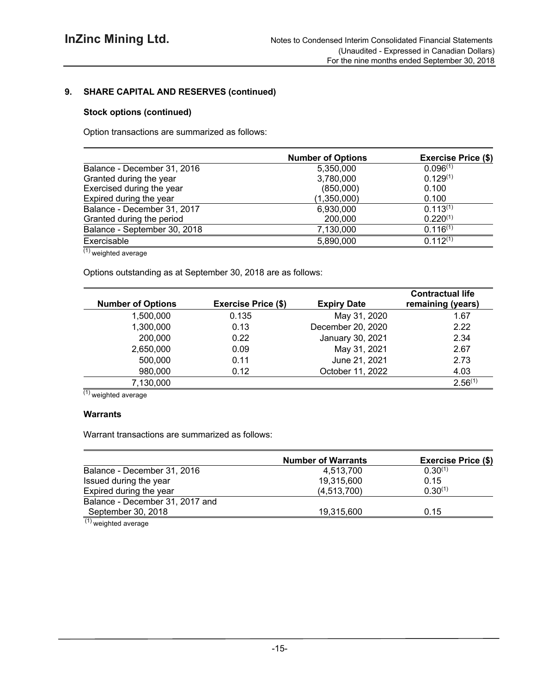## **9. SHARE CAPITAL AND RESERVES (continued)**

## **Stock options (continued)**

Option transactions are summarized as follows:

|                              | <b>Number of Options</b> | <b>Exercise Price (\$)</b> |
|------------------------------|--------------------------|----------------------------|
| Balance - December 31, 2016  | 5,350,000                | 0.096(1)                   |
| Granted during the year      | 3,780,000                | $0.129^{(1)}$              |
| Exercised during the year    | (850,000)                | 0.100                      |
| Expired during the year      | (1,350,000)              | 0.100                      |
| Balance - December 31, 2017  | 6,930,000                | $0.113^{(1)}$              |
| Granted during the period    | 200,000                  | $0.220^{(1)}$              |
| Balance - September 30, 2018 | 7,130,000                | $0.116^{(1)}$              |
| Exercisable                  | 5,890,000                | $0.112^{(1)}$              |

 $(1)$  weighted average

Options outstanding as at September 30, 2018 are as follows:

| <b>Number of Options</b> | <b>Exercise Price (\$)</b> | <b>Expiry Date</b> | <b>Contractual life</b><br>remaining (years) |
|--------------------------|----------------------------|--------------------|----------------------------------------------|
| 1,500,000                | 0.135                      | May 31, 2020       | 1.67                                         |
| 1,300,000                | 0.13                       | December 20, 2020  | 2.22                                         |
| 200,000                  | 0.22                       | January 30, 2021   | 2.34                                         |
| 2,650,000                | 0.09                       | May 31, 2021       | 2.67                                         |
| 500,000                  | 0.11                       | June 21, 2021      | 2.73                                         |
| 980,000                  | 0.12                       | October 11, 2022   | 4.03                                         |
| 7,130,000                |                            |                    | $2.56^{(1)}$                                 |

 $\overline{^{(1)}}$  weighted average

## **Warrants**

Warrant transactions are summarized as follows:

|                                 | <b>Number of Warrants</b> | <b>Exercise Price (\$)</b> |  |  |
|---------------------------------|---------------------------|----------------------------|--|--|
| Balance - December 31, 2016     | 4.513.700                 | $0.30^{(1)}$               |  |  |
| Issued during the year          | 19,315,600                | 0.15                       |  |  |
| Expired during the year         | (4,513,700)               | $0.30^{(1)}$               |  |  |
| Balance - December 31, 2017 and |                           |                            |  |  |
| September 30, 2018              | 19,315,600                | 0.15                       |  |  |
| (1)<br>.                        |                           |                            |  |  |

(1) weighted average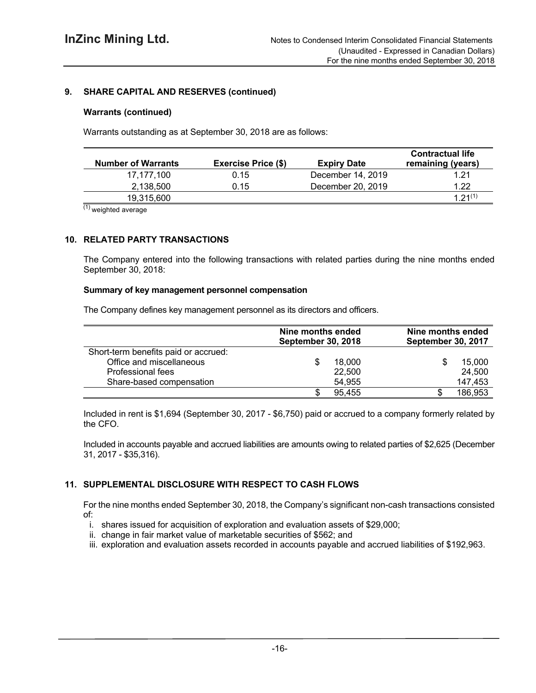## **9. SHARE CAPITAL AND RESERVES (continued)**

#### **Warrants (continued)**

Warrants outstanding as at September 30, 2018 are as follows:

| <b>Number of Warrants</b> | <b>Exercise Price (\$)</b> | <b>Expiry Date</b> | <b>Contractual life</b><br>remaining (years) |
|---------------------------|----------------------------|--------------------|----------------------------------------------|
| 17.177.100                | 0.15                       | December 14, 2019  | 1.21                                         |
| 2.138.500                 | 0.15                       | December 20, 2019  | 1.22                                         |
| 19,315,600                |                            |                    | 1.21(1)                                      |

 $(1)$  weighted average

## **10. RELATED PARTY TRANSACTIONS**

The Company entered into the following transactions with related parties during the nine months ended September 30, 2018:

#### **Summary of key management personnel compensation**

The Company defines key management personnel as its directors and officers.

|                                      | Nine months ended<br><b>September 30, 2018</b> |        | Nine months ended<br>September 30, 2017 |  |  |
|--------------------------------------|------------------------------------------------|--------|-----------------------------------------|--|--|
| Short-term benefits paid or accrued: |                                                |        |                                         |  |  |
| Office and miscellaneous             |                                                | 18,000 | 15,000                                  |  |  |
| Professional fees                    |                                                | 22,500 | 24,500                                  |  |  |
| Share-based compensation             |                                                | 54.955 | 147,453                                 |  |  |
|                                      |                                                | 95,455 | 186,953                                 |  |  |

Included in rent is \$1,694 (September 30, 2017 - \$6,750) paid or accrued to a company formerly related by the CFO.

Included in accounts payable and accrued liabilities are amounts owing to related parties of \$2,625 (December 31, 2017 - \$35,316).

## **11. SUPPLEMENTAL DISCLOSURE WITH RESPECT TO CASH FLOWS**

For the nine months ended September 30, 2018, the Company's significant non-cash transactions consisted of:

- i. shares issued for acquisition of exploration and evaluation assets of \$29,000;
- ii. change in fair market value of marketable securities of \$562; and
- iii. exploration and evaluation assets recorded in accounts payable and accrued liabilities of \$192,963.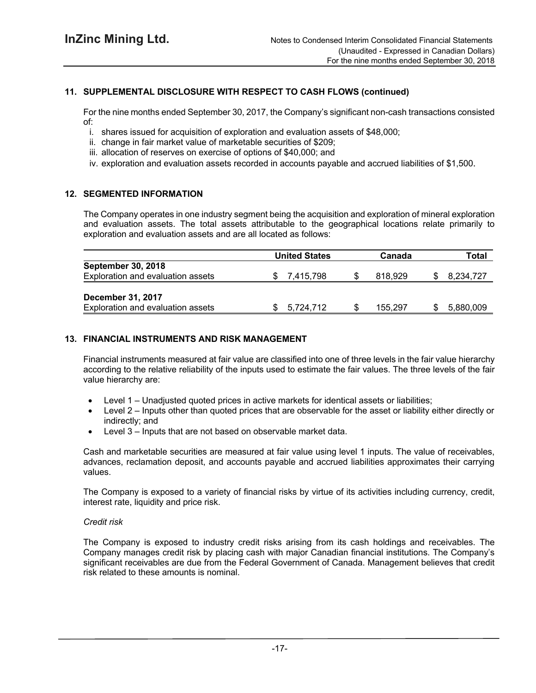## **11. SUPPLEMENTAL DISCLOSURE WITH RESPECT TO CASH FLOWS (continued)**

For the nine months ended September 30, 2017, the Company's significant non-cash transactions consisted of:

- i. shares issued for acquisition of exploration and evaluation assets of \$48,000;
- ii. change in fair market value of marketable securities of \$209;
- iii. allocation of reserves on exercise of options of \$40,000; and
- iv. exploration and evaluation assets recorded in accounts payable and accrued liabilities of \$1,500.

#### **12. SEGMENTED INFORMATION**

The Company operates in one industry segment being the acquisition and exploration of mineral exploration and evaluation assets. The total assets attributable to the geographical locations relate primarily to exploration and evaluation assets and are all located as follows:

|                                   | <b>United States</b> | Canada  | Total     |
|-----------------------------------|----------------------|---------|-----------|
| <b>September 30, 2018</b>         |                      |         |           |
| Exploration and evaluation assets | 7,415,798            | 818.929 | 8,234,727 |
|                                   |                      |         |           |
| <b>December 31, 2017</b>          |                      |         |           |
| Exploration and evaluation assets | 5.724.712            | 155.297 | 5,880,009 |

#### **13. FINANCIAL INSTRUMENTS AND RISK MANAGEMENT**

Financial instruments measured at fair value are classified into one of three levels in the fair value hierarchy according to the relative reliability of the inputs used to estimate the fair values. The three levels of the fair value hierarchy are:

- Level 1 Unadjusted quoted prices in active markets for identical assets or liabilities;
- Level 2 Inputs other than quoted prices that are observable for the asset or liability either directly or indirectly; and
- Level 3 Inputs that are not based on observable market data.

Cash and marketable securities are measured at fair value using level 1 inputs. The value of receivables, advances, reclamation deposit, and accounts payable and accrued liabilities approximates their carrying values.

The Company is exposed to a variety of financial risks by virtue of its activities including currency, credit, interest rate, liquidity and price risk.

#### *Credit risk*

The Company is exposed to industry credit risks arising from its cash holdings and receivables. The Company manages credit risk by placing cash with major Canadian financial institutions. The Company's significant receivables are due from the Federal Government of Canada. Management believes that credit risk related to these amounts is nominal.